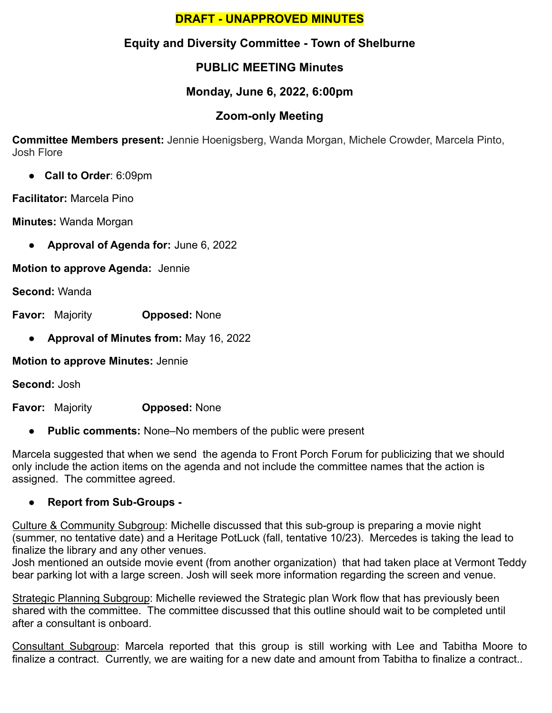## **DRAFT - UNAPPROVED MINUTES**

# **Equity and Diversity Committee - Town of Shelburne**

# **PUBLIC MEETING Minutes**

### **Monday, June 6, 2022, 6:00pm**

### **Zoom-only Meeting**

**Committee Members present:** Jennie Hoenigsberg, Wanda Morgan, Michele Crowder, Marcela Pinto, Josh Flore

● **Call to Order**: 6:09pm

**Facilitator:** Marcela Pino

**Minutes:** Wanda Morgan

● **Approval of Agenda for:** June 6, 2022

**Motion to approve Agenda:** Jennie

**Second:** Wanda

**Favor:** Majority **Opposed:** None

● **Approval of Minutes from:** May 16, 2022

**Motion to approve Minutes:** Jennie

**Second:** Josh

**Favor:** Majority **Opposed:** None

● **Public comments:** None–No members of the public were present

Marcela suggested that when we send the agenda to Front Porch Forum for publicizing that we should only include the action items on the agenda and not include the committee names that the action is assigned. The committee agreed.

### ● **Report from Sub-Groups -**

Culture & Community Subgroup: Michelle discussed that this sub-group is preparing a movie night (summer, no tentative date) and a Heritage PotLuck (fall, tentative 10/23). Mercedes is taking the lead to finalize the library and any other venues.

Josh mentioned an outside movie event (from another organization) that had taken place at Vermont Teddy bear parking lot with a large screen. Josh will seek more information regarding the screen and venue.

Strategic Planning Subgroup: Michelle reviewed the Strategic plan Work flow that has previously been shared with the committee. The committee discussed that this outline should wait to be completed until after a consultant is onboard.

Consultant Subgroup: Marcela reported that this group is still working with Lee and Tabitha Moore to finalize a contract. Currently, we are waiting for a new date and amount from Tabitha to finalize a contract..